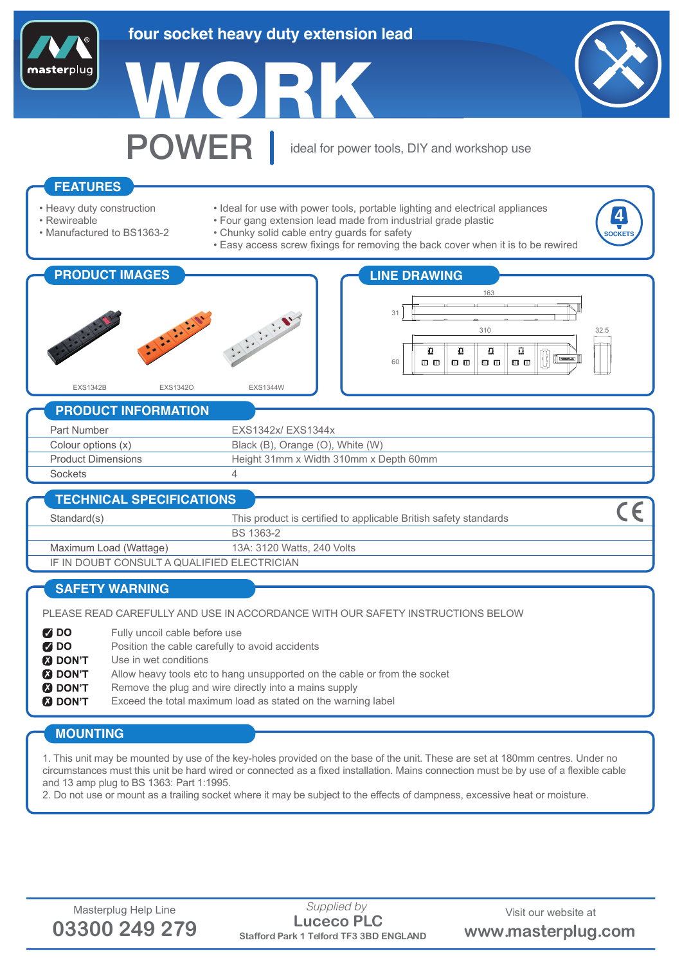# **four socket heavy duty extension lead**

W.





**4** SOCKET

POWER ideal for power tools, DIY and workshop use

## **FEATURES**

- Heavy duty construction
- Rewireable
- Manufactured to BS1363-2
- Ideal for use with power tools, portable lighting and electrical appliances
- Four gang extension lead made from industrial grade plastic
- Chunky solid cable entry guards for safety
	- Easy access screw fixings for removing the back cover when it is to be rewired





### **PRODUCT INFORMATION**

| Part Number               | EXS1342x/EXS1344x                      |
|---------------------------|----------------------------------------|
| Colour options (x)        | Black (B), Orange (O), White (W)       |
| <b>Product Dimensions</b> | Height 31mm x Width 310mm x Depth 60mm |
| Sockets                   |                                        |
|                           |                                        |

#### **TECHNICAL SPECIFICATIONS**  $\epsilon$ This product is certified to applicable British safety standards Standard(s) BS 1363-2 Maximum Load (Wattage) 13A: 3120 Watts, 240 Volts IF IN DOUBT CONSULT A QUALIFIED ELECTRICIAN

# **SAFETY WARNING**

PLEASE READ CAREFULLY AND USE IN ACCORDANCE WITH OUR SAFETY INSTRUCTIONS BELOW

 $700$ Fully uncoil cable before use Position the cable carefully to avoid accidents **Z** DO **M** DON'T Use in wet conditions

- **M** DON'T Allow heavy tools etc to hang unsupported on the cable or from the socket
- **8** DON'T Remove the plug and wire directly into a mains supply
- **M** DON'T Exceed the total maximum load as stated on the warning label

## **MOUNTING**

1. This unit may be mounted by use of the key-holes provided on the base of the unit. These are set at 180mm centres. Under no circumstances must this unit be hard wired or connected as a fixed installation. Mains connection must be by use of a flexible cable and 13 amp plug to BS 1363: Part 1:1995.

2. Do not use or mount as a trailing socket where it may be subject to the effects of dampness, excessive heat or moisture.



Masterplug Help Line Supplied by Supplied by Visit our website at a metal of  $\blacksquare$ **03300 249 279 Stafford Park 1 Telford TF3 3BD ENGLAND www.masterplug.com Luceco PLC** *Supplied by*